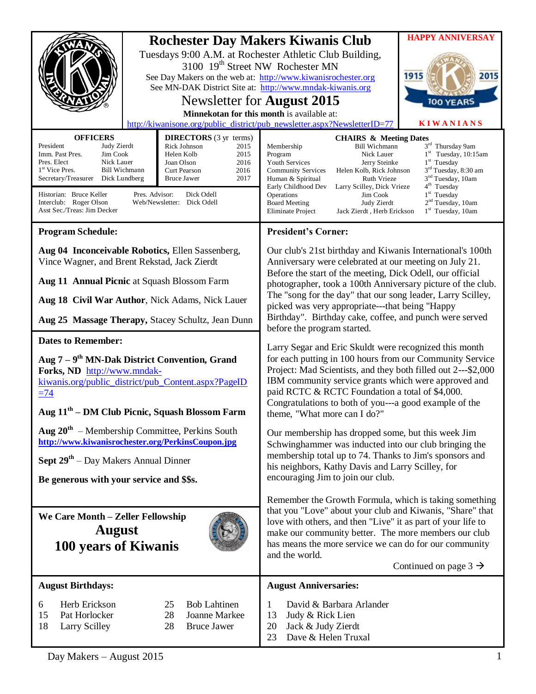| <b>OFFICERS</b><br>President                                                                                                                                                                                                                                                                                                                                                                                                                      | <b>DIRECTORS</b> (3 yr terms)                                                       | <b>HAPPY ANNIVERSAY</b><br><b>Rochester Day Makers Kiwanis Club</b><br>Tuesdays 9:00 A.M. at Rochester Athletic Club Building,<br>3100 19 <sup>th</sup> Street NW Rochester MN<br>1915<br>2015<br>See Day Makers on the web at: http://www.kiwanisrochester.org<br>See MN-DAK District Site at: http://www.mndak-kiwanis.org<br>Newsletter for <b>August</b> 2015<br><b>100 YEARS</b><br>Minnekotan for this month is available at:<br><b>KIWANIANS</b><br>http://kiwanisone.org/public_district/pub_newsletter.aspx?NewsletterID=77<br><b>CHAIRS &amp; Meeting Dates</b>                                                                                    |  |  |  |  |  |
|---------------------------------------------------------------------------------------------------------------------------------------------------------------------------------------------------------------------------------------------------------------------------------------------------------------------------------------------------------------------------------------------------------------------------------------------------|-------------------------------------------------------------------------------------|--------------------------------------------------------------------------------------------------------------------------------------------------------------------------------------------------------------------------------------------------------------------------------------------------------------------------------------------------------------------------------------------------------------------------------------------------------------------------------------------------------------------------------------------------------------------------------------------------------------------------------------------------------------|--|--|--|--|--|
| Judy Zierdt<br><b>Rick Johnson</b><br>2015<br>Imm. Past Pres.<br>Jim Cook<br>Helen Kolb<br>2015<br>Pres. Elect<br>Nick Lauer<br>Joan Olson<br>2016<br>1 <sup>st</sup> Vice Pres.<br>Bill Wichmann<br>2016<br>Curt Pearson<br>Secretary/Treasurer<br>2017<br>Dick Lundberg<br><b>Bruce Jawer</b><br>Pres. Advisor:<br>Historian: Bruce Keller<br>Dick Odell<br>Interclub: Roger Olson<br>Web/Newsletter: Dick Odell<br>Asst Sec./Treas: Jim Decker |                                                                                     | 3rd Thursday 9am<br><b>Bill Wichmann</b><br>Membership<br>$1st$ Tuesday, 10:15am<br>Program<br>Nick Lauer<br>$1st$ Tuesday<br><b>Youth Services</b><br>Jerry Steinke<br>3 <sup>rd</sup> Tuesday, 8:30 am<br><b>Community Services</b><br>Helen Kolb, Rick Johnson<br>3 <sup>nd</sup> Tuesday, 10am<br>Ruth Vrieze<br>Human & Spiritual<br>$4th$ Tuesday<br>Early Childhood Dev<br>Larry Scilley, Dick Vrieze<br>$1st$ Tuesday<br>Operations<br>Jim Cook<br>2 <sup>nd</sup> Tuesday, 10am<br><b>Board Meeting</b><br>Judy Zierdt<br>$1st$ Tuesday, 10am<br>Eliminate Project<br>Jack Zierdt, Herb Erickson                                                    |  |  |  |  |  |
| <b>Program Schedule:</b>                                                                                                                                                                                                                                                                                                                                                                                                                          |                                                                                     | <b>President's Corner:</b>                                                                                                                                                                                                                                                                                                                                                                                                                                                                                                                                                                                                                                   |  |  |  |  |  |
| Aug 04 Inconceivable Robotics, Ellen Sassenberg,<br>Vince Wagner, and Brent Rekstad, Jack Zierdt<br>Aug 11 Annual Picnic at Squash Blossom Farm<br>Aug 18 Civil War Author, Nick Adams, Nick Lauer<br>Aug 25 Massage Therapy, Stacey Schultz, Jean Dunn                                                                                                                                                                                           |                                                                                     | Our club's 21st birthday and Kiwanis International's 100th<br>Anniversary were celebrated at our meeting on July 21.<br>Before the start of the meeting, Dick Odell, our official<br>photographer, took a 100th Anniversary picture of the club.<br>The "song for the day" that our song leader, Larry Scilley,<br>picked was very appropriate---that being "Happy<br>Birthday". Birthday cake, coffee, and punch were served                                                                                                                                                                                                                                |  |  |  |  |  |
|                                                                                                                                                                                                                                                                                                                                                                                                                                                   |                                                                                     | before the program started.                                                                                                                                                                                                                                                                                                                                                                                                                                                                                                                                                                                                                                  |  |  |  |  |  |
| <b>Dates to Remember:</b><br>Aug $7 - 9th$ MN-Dak District Convention, Grand<br>Forks, ND http://www.mndak-<br>kiwanis.org/public_district/pub_Content.aspx?PageID<br>$\equiv$ 74<br>Aug 11 <sup>th</sup> – DM Club Picnic, Squash Blossom Farm                                                                                                                                                                                                   |                                                                                     | Larry Segar and Eric Skuldt were recognized this month<br>for each putting in 100 hours from our Community Service<br>Project: Mad Scientists, and they both filled out 2---\$2,000<br>IBM community service grants which were approved and<br>paid RCTC & RCTC Foundation a total of \$4,000.<br>Congratulations to both of you---a good example of the<br>theme, "What more can I do?"<br>Our membership has dropped some, but this week Jim<br>Schwinghammer was inducted into our club bringing the<br>membership total up to 74. Thanks to Jim's sponsors and<br>his neighbors, Kathy Davis and Larry Scilley, for<br>encouraging Jim to join our club. |  |  |  |  |  |
| Aug $20th$ – Membership Committee, Perkins South<br>http://www.kiwanisrochester.org/PerkinsCoupon.jpg<br><b>Sept <math>29th</math></b> – Day Makers Annual Dinner<br>Be generous with your service and \$\$s.                                                                                                                                                                                                                                     |                                                                                     |                                                                                                                                                                                                                                                                                                                                                                                                                                                                                                                                                                                                                                                              |  |  |  |  |  |
| We Care Month - Zeller Fellowship<br><b>August</b><br>100 years of Kiwanis                                                                                                                                                                                                                                                                                                                                                                        |                                                                                     | Remember the Growth Formula, which is taking something<br>that you "Love" about your club and Kiwanis, "Share" that<br>love with others, and then "Live" it as part of your life to<br>make our community better. The more members our club<br>has means the more service we can do for our community<br>and the world.<br>Continued on page $3 \rightarrow$                                                                                                                                                                                                                                                                                                 |  |  |  |  |  |
| <b>August Birthdays:</b>                                                                                                                                                                                                                                                                                                                                                                                                                          |                                                                                     | <b>August Anniversaries:</b>                                                                                                                                                                                                                                                                                                                                                                                                                                                                                                                                                                                                                                 |  |  |  |  |  |
| Herb Erickson<br>6<br>15<br>Pat Horlocker<br>18<br><b>Larry Scilley</b>                                                                                                                                                                                                                                                                                                                                                                           | <b>Bob Lahtinen</b><br>25<br><b>Joanne Markee</b><br>28<br>28<br><b>Bruce Jawer</b> | David & Barbara Arlander<br>1<br>13<br>Judy & Rick Lien<br>20<br>Jack & Judy Zierdt<br>Dave & Helen Truxal<br>23                                                                                                                                                                                                                                                                                                                                                                                                                                                                                                                                             |  |  |  |  |  |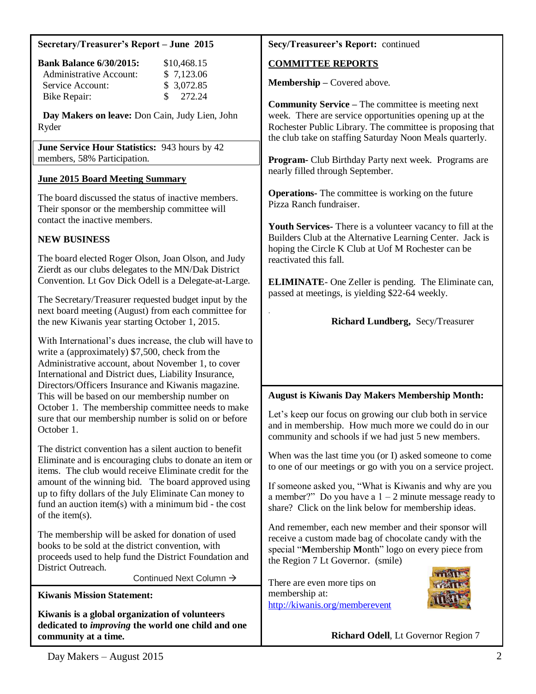#### **Secretary/Treasurer's Report – June 2015**

| <b>Bank Balance 6/30/2015:</b> | \$10,468.15                      |
|--------------------------------|----------------------------------|
| Administrative Account:        | \$7,123.06                       |
| Service Account:               | \$3,072.85                       |
| Bike Repair:                   | $\frac{\text{S}}{\text{272.24}}$ |

 **Day Makers on leave:** Don Cain, Judy Lien, John Ryder

**June Service Hour Statistics:** 943 hours by 42 members, 58% Participation.

#### **June 2015 Board Meeting Summary**

The board discussed the status of inactive members. Their sponsor or the membership committee will contact the inactive members.

### **NEW BUSINESS**

The board elected Roger Olson, Joan Olson, and Judy Zierdt as our clubs delegates to the MN/Dak District Convention. Lt Gov Dick Odell is a Delegate-at-Large.

The Secretary/Treasurer requested budget input by the next board meeting (August) from each committee for the new Kiwanis year starting October 1, 2015.

With International's dues increase, the club will have to write a (approximately) \$7,500, check from the Administrative account, about November 1, to cover International and District dues, Liability Insurance, Directors/Officers Insurance and Kiwanis magazine. This will be based on our membership number on October 1. The membership committee needs to make sure that our membership number is solid on or before October 1.

The district convention has a silent auction to benefit Eliminate and is encouraging clubs to donate an item or items. The club would receive Eliminate credit for the amount of the winning bid. The board approved using up to fifty dollars of the July Eliminate Can money to fund an auction item(s) with a minimum bid - the cost of the item(s).

The membership will be asked for donation of used books to be sold at the district convention, with proceeds used to help fund the District Foundation and District Outreach.

Continued Next Column

**Kiwanis Mission Statement:**

**Kiwanis is a global organization of volunteers dedicated to** *improving* **the world one child and one community at a time.**

#### **Secy/Treasureer's Report:** continued

### **COMMITTEE REPORTS**

.

**Membership –** Covered above.

**Community Service –** The committee is meeting next week. There are service opportunities opening up at the Rochester Public Library. The committee is proposing that the club take on staffing Saturday Noon Meals quarterly.

**Program-** Club Birthday Party next week. Programs are nearly filled through September.

**Operations-** The committee is working on the future Pizza Ranch fundraiser.

**Youth Services-** There is a volunteer vacancy to fill at the Builders Club at the Alternative Learning Center. Jack is hoping the Circle K Club at Uof M Rochester can be reactivated this fall.

**ELIMINATE**- One Zeller is pending. The Eliminate can, passed at meetings, is yielding \$22-64 weekly.

### **Richard Lundberg,** Secy/Treasurer

# **August is Kiwanis Day Makers Membership Month:**

Let's keep our focus on growing our club both in service and in membership. How much more we could do in our community and schools if we had just 5 new members.

When was the last time you (or I) asked someone to come to one of our meetings or go with you on a service project.

If someone asked you, "What is Kiwanis and why are you a member?" Do you have a  $1 - 2$  minute message ready to share? Click on the link below for membership ideas.

And remember, each new member and their sponsor will receive a custom made bag of chocolate candy with the special "**M**embership **M**onth" logo on every piece from the Region 7 Lt Governor. (smile)

There are even more tips on membership at: <http://kiwanis.org/memberevent>



**Richard Odell**, Lt Governor Region 7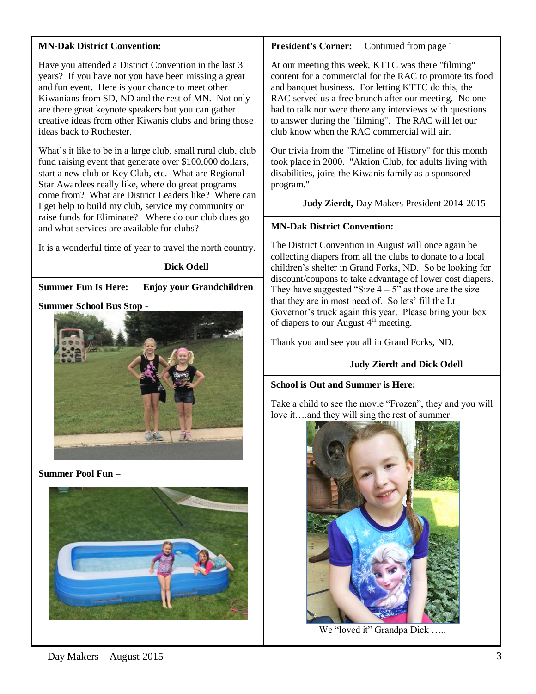#### **MN-Dak District Convention:**

Have you attended a District Convention in the last 3 years? If you have not you have been missing a great and fun event. Here is your chance to meet other Kiwanians from SD, ND and the rest of MN. Not only are there great keynote speakers but you can gather creative ideas from other Kiwanis clubs and bring those ideas back to Rochester.

What's it like to be in a large club, small rural club, club fund raising event that generate over \$100,000 dollars, start a new club or Key Club, etc. What are Regional Star Awardees really like, where do great programs come from? What are District Leaders like? Where can I get help to build my club, service my community or raise funds for Eliminate? Where do our club dues go and what services are available for clubs?

It is a wonderful time of year to travel the north country.

#### **Dick Odell**

**Summer Fun Is Here: Enjoy your Grandchildren**

#### **Summer School Bus Stop -**



**Summer Pool Fun –**



**President's Corner:** Continued from page 1

At our meeting this week, KTTC was there "filming" content for a commercial for the RAC to promote its food and banquet business. For letting KTTC do this, the RAC served us a free brunch after our meeting. No one had to talk nor were there any interviews with questions to answer during the "filming". The RAC will let our club know when the RAC commercial will air.

Our trivia from the "Timeline of History" for this month took place in 2000. "Aktion Club, for adults living with disabilities, joins the Kiwanis family as a sponsored program."

 **Judy Zierdt,** Day Makers President 2014-2015

# **MN-Dak District Convention:**

The District Convention in August will once again be collecting diapers from all the clubs to donate to a local children's shelter in Grand Forks, ND. So be looking for discount/coupons to take advantage of lower cost diapers. They have suggested "Size  $4 - 5$ " as those are the size that they are in most need of. So lets' fill the Lt Governor's truck again this year. Please bring your box of diapers to our August  $4<sup>th</sup>$  meeting.

Thank you and see you all in Grand Forks, ND.

# **Judy Zierdt and Dick Odell**

#### **School is Out and Summer is Here:**

Take a child to see the movie "Frozen", they and you will love it….and they will sing the rest of summer.



We "loved it" Grandpa Dick .....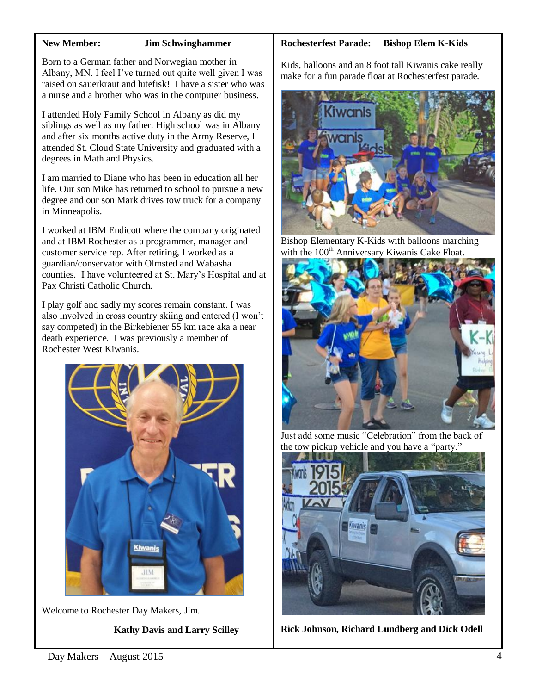#### **New Member: Jim Schwinghammer**

Born to a German father and Norwegian mother in Albany, MN. I feel I've turned out quite well given I was raised on sauerkraut and lutefisk! I have a sister who was a nurse and a brother who was in the computer business.

I attended Holy Family School in Albany as did my siblings as well as my father. High school was in Albany and after six months active duty in the Army Reserve, I attended St. Cloud State University and graduated with a degrees in Math and Physics.

I am married to Diane who has been in education all her life. Our son Mike has returned to school to pursue a new degree and our son Mark drives tow truck for a company in Minneapolis.

I worked at IBM Endicott where the company originated and at IBM Rochester as a programmer, manager and customer service rep. After retiring, I worked as a guardian/conservator with Olmsted and Wabasha counties. I have volunteered at St. Mary's Hospital and at Pax Christi Catholic Church.

I play golf and sadly my scores remain constant. I was also involved in cross country skiing and entered (I won't say competed) in the Birkebiener 55 km race aka a near death experience. I was previously a member of Rochester West Kiwanis.



Welcome to Rochester Day Makers, Jim.

 **Kathy Davis and Larry Scilley**

#### **Rochesterfest Parade: Bishop Elem K-Kids**

Kids, balloons and an 8 foot tall Kiwanis cake really make for a fun parade float at Rochesterfest parade.



Bishop Elementary K-Kids with balloons marching with the  $100<sup>th</sup>$  Anniversary Kiwanis Cake Float.



Just add some music "Celebration" from the back of the tow pickup vehicle and you have a "party."



**Rick Johnson, Richard Lundberg and Dick Odell**